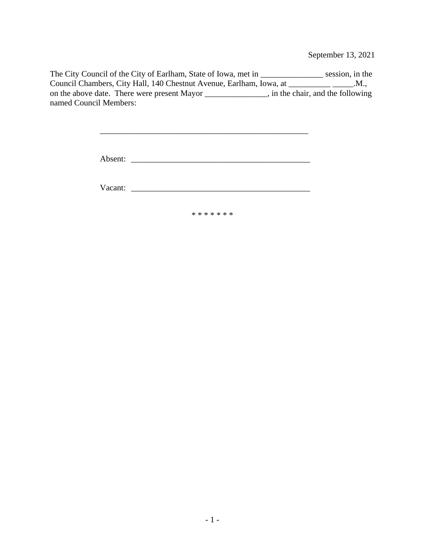September 13, 2021

The City Council of the City of Earlham, State of Iowa, met in \_\_\_\_\_\_\_\_\_\_\_\_\_\_\_ session, in the Council Chambers, City Hall, 140 Chestnut Avenue, Earlham, Iowa, at \_\_\_\_\_\_\_\_\_\_\_\_\_\_\_\_\_\_.M., on the above date. There were present Mayor \_\_\_\_\_\_\_\_\_\_\_\_\_\_\_, in the chair, and the following named Council Members:

| Absent: |  |  |
|---------|--|--|
|         |  |  |

\_\_\_\_\_\_\_\_\_\_\_\_\_\_\_\_\_\_\_\_\_\_\_\_\_\_\_\_\_\_\_\_\_\_\_\_\_\_\_\_\_\_\_\_\_\_\_\_\_\_

Vacant:

\* \* \* \* \* \* \*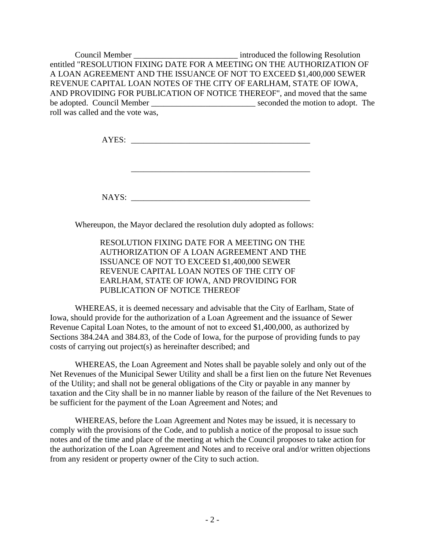Council Member \_\_\_\_\_\_\_\_\_\_\_\_\_\_\_\_\_\_\_\_\_\_\_\_\_\_\_\_\_\_\_\_\_\_ introduced the following Resolution entitled "RESOLUTION FIXING DATE FOR A MEETING ON THE AUTHORIZATION OF A LOAN AGREEMENT AND THE ISSUANCE OF NOT TO EXCEED \$1,400,000 SEWER REVENUE CAPITAL LOAN NOTES OF THE CITY OF EARLHAM, STATE OF IOWA, AND PROVIDING FOR PUBLICATION OF NOTICE THEREOF", and moved that the same be adopted. Council Member \_\_\_\_\_\_\_\_\_\_\_\_\_\_\_\_\_\_\_\_\_\_\_\_\_\_\_\_\_\_\_\_ seconded the motion to adopt. The roll was called and the vote was,

AYES: \_\_\_\_\_\_\_\_\_\_\_\_\_\_\_\_\_\_\_\_\_\_\_\_\_\_\_\_\_\_\_\_\_\_\_\_\_\_\_\_\_\_\_

NAYS: \_\_\_\_\_\_\_\_\_\_\_\_\_\_\_\_\_\_\_\_\_\_\_\_\_\_\_\_\_\_\_\_\_\_\_\_\_\_\_\_\_\_\_

\_\_\_\_\_\_\_\_\_\_\_\_\_\_\_\_\_\_\_\_\_\_\_\_\_\_\_\_\_\_\_\_\_\_\_\_\_\_\_\_\_\_\_

Whereupon, the Mayor declared the resolution duly adopted as follows:

RESOLUTION FIXING DATE FOR A MEETING ON THE AUTHORIZATION OF A LOAN AGREEMENT AND THE ISSUANCE OF NOT TO EXCEED \$1,400,000 SEWER REVENUE CAPITAL LOAN NOTES OF THE CITY OF EARLHAM, STATE OF IOWA, AND PROVIDING FOR PUBLICATION OF NOTICE THEREOF

WHEREAS, it is deemed necessary and advisable that the City of Earlham, State of Iowa, should provide for the authorization of a Loan Agreement and the issuance of Sewer Revenue Capital Loan Notes, to the amount of not to exceed \$1,400,000, as authorized by Sections 384.24A and 384.83, of the Code of Iowa, for the purpose of providing funds to pay costs of carrying out project(s) as hereinafter described; and

WHEREAS, the Loan Agreement and Notes shall be payable solely and only out of the Net Revenues of the Municipal Sewer Utility and shall be a first lien on the future Net Revenues of the Utility; and shall not be general obligations of the City or payable in any manner by taxation and the City shall be in no manner liable by reason of the failure of the Net Revenues to be sufficient for the payment of the Loan Agreement and Notes; and

WHEREAS, before the Loan Agreement and Notes may be issued, it is necessary to comply with the provisions of the Code, and to publish a notice of the proposal to issue such notes and of the time and place of the meeting at which the Council proposes to take action for the authorization of the Loan Agreement and Notes and to receive oral and/or written objections from any resident or property owner of the City to such action.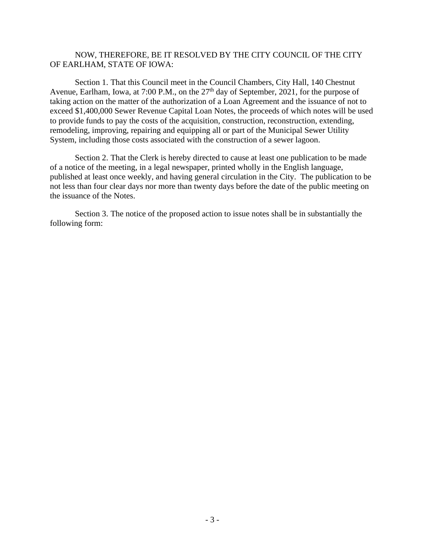### NOW, THEREFORE, BE IT RESOLVED BY THE CITY COUNCIL OF THE CITY OF EARLHAM, STATE OF IOWA:

Section 1. That this Council meet in the Council Chambers, City Hall, 140 Chestnut Avenue, Earlham, Iowa, at 7:00 P.M., on the 27<sup>th</sup> day of September, 2021, for the purpose of taking action on the matter of the authorization of a Loan Agreement and the issuance of not to exceed \$1,400,000 Sewer Revenue Capital Loan Notes, the proceeds of which notes will be used to provide funds to pay the costs of the acquisition, construction, reconstruction, extending, remodeling, improving, repairing and equipping all or part of the Municipal Sewer Utility System, including those costs associated with the construction of a sewer lagoon.

Section 2. That the Clerk is hereby directed to cause at least one publication to be made of a notice of the meeting, in a legal newspaper, printed wholly in the English language, published at least once weekly, and having general circulation in the City. The publication to be not less than four clear days nor more than twenty days before the date of the public meeting on the issuance of the Notes.

Section 3. The notice of the proposed action to issue notes shall be in substantially the following form: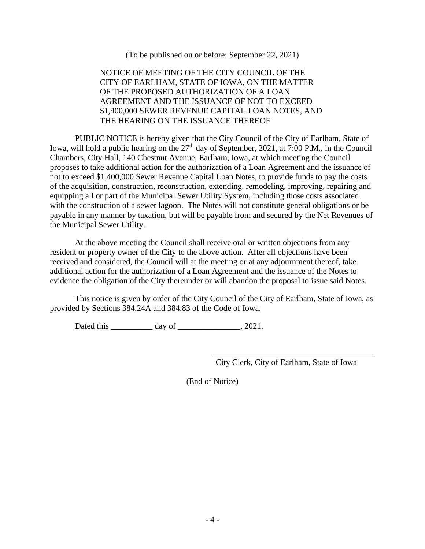(To be published on or before: September 22, 2021)

## NOTICE OF MEETING OF THE CITY COUNCIL OF THE CITY OF EARLHAM, STATE OF IOWA, ON THE MATTER OF THE PROPOSED AUTHORIZATION OF A LOAN AGREEMENT AND THE ISSUANCE OF NOT TO EXCEED \$1,400,000 SEWER REVENUE CAPITAL LOAN NOTES, AND THE HEARING ON THE ISSUANCE THEREOF

PUBLIC NOTICE is hereby given that the City Council of the City of Earlham, State of Iowa, will hold a public hearing on the 27<sup>th</sup> day of September, 2021, at 7:00 P.M., in the Council Chambers, City Hall, 140 Chestnut Avenue, Earlham, Iowa, at which meeting the Council proposes to take additional action for the authorization of a Loan Agreement and the issuance of not to exceed \$1,400,000 Sewer Revenue Capital Loan Notes, to provide funds to pay the costs of the acquisition, construction, reconstruction, extending, remodeling, improving, repairing and equipping all or part of the Municipal Sewer Utility System, including those costs associated with the construction of a sewer lagoon. The Notes will not constitute general obligations or be payable in any manner by taxation, but will be payable from and secured by the Net Revenues of the Municipal Sewer Utility.

At the above meeting the Council shall receive oral or written objections from any resident or property owner of the City to the above action. After all objections have been received and considered, the Council will at the meeting or at any adjournment thereof, take additional action for the authorization of a Loan Agreement and the issuance of the Notes to evidence the obligation of the City thereunder or will abandon the proposal to issue said Notes.

This notice is given by order of the City Council of the City of Earlham, State of Iowa, as provided by Sections 384.24A and 384.83 of the Code of Iowa.

Dated this \_\_\_\_\_\_\_\_\_\_\_\_ day of \_\_\_\_\_\_\_\_\_\_\_\_\_\_\_, 2021.

City Clerk, City of Earlham, State of Iowa

(End of Notice)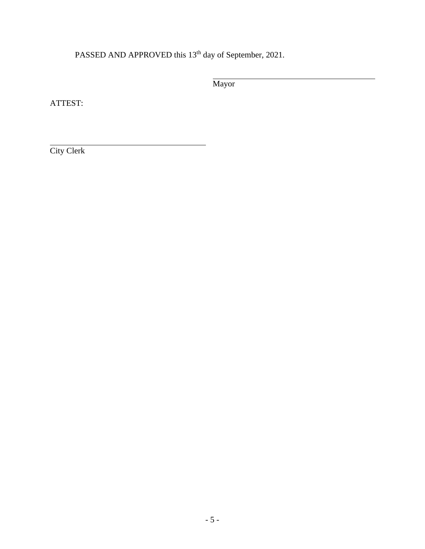PASSED AND APPROVED this 13<sup>th</sup> day of September, 2021.

Mayor

ATTEST:

City Clerk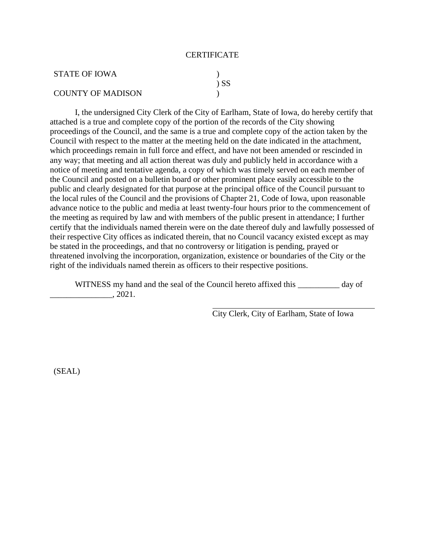#### **CERTIFICATE**

| STATE OF IOWA            |        |
|--------------------------|--------|
|                          | $\sum$ |
| <b>COUNTY OF MADISON</b> |        |

I, the undersigned City Clerk of the City of Earlham, State of Iowa, do hereby certify that attached is a true and complete copy of the portion of the records of the City showing proceedings of the Council, and the same is a true and complete copy of the action taken by the Council with respect to the matter at the meeting held on the date indicated in the attachment, which proceedings remain in full force and effect, and have not been amended or rescinded in any way; that meeting and all action thereat was duly and publicly held in accordance with a notice of meeting and tentative agenda, a copy of which was timely served on each member of the Council and posted on a bulletin board or other prominent place easily accessible to the public and clearly designated for that purpose at the principal office of the Council pursuant to the local rules of the Council and the provisions of Chapter 21, Code of Iowa, upon reasonable advance notice to the public and media at least twenty-four hours prior to the commencement of the meeting as required by law and with members of the public present in attendance; I further certify that the individuals named therein were on the date thereof duly and lawfully possessed of their respective City offices as indicated therein, that no Council vacancy existed except as may be stated in the proceedings, and that no controversy or litigation is pending, prayed or threatened involving the incorporation, organization, existence or boundaries of the City or the right of the individuals named therein as officers to their respective positions.

WITNESS my hand and the seal of the Council hereto affixed this \_\_\_\_\_\_\_\_\_\_ day of \_\_\_\_\_\_\_\_\_\_\_\_\_\_\_, 2021.

City Clerk, City of Earlham, State of Iowa

(SEAL)